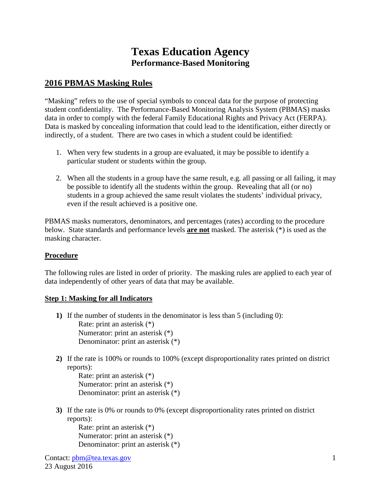# **Texas Education Agency Performance-Based Monitoring**

## **2016 PBMAS Masking Rules**

"Masking" refers to the use of special symbols to conceal data for the purpose of protecting student confidentiality. The Performance-Based Monitoring Analysis System (PBMAS) masks data in order to comply with the federal Family Educational Rights and Privacy Act (FERPA). Data is masked by concealing information that could lead to the identification, either directly or indirectly, of a student. There are two cases in which a student could be identified:

- 1. When very few students in a group are evaluated, it may be possible to identify a particular student or students within the group.
- 2. When all the students in a group have the same result, e.g. all passing or all failing, it may be possible to identify all the students within the group. Revealing that all (or no) students in a group achieved the same result violates the students' individual privacy, even if the result achieved is a positive one.

PBMAS masks numerators, denominators, and percentages (rates) according to the procedure below. State standards and performance levels **are not** masked. The asterisk (\*) is used as the masking character.

#### **Procedure**

The following rules are listed in order of priority. The masking rules are applied to each year of data independently of other years of data that may be available.

#### **Step 1: Masking for all Indicators**

- **1)** If the number of students in the denominator is less than 5 (including 0): Rate: print an asterisk (\*) Numerator: print an asterisk (\*) Denominator: print an asterisk (\*)
- **2)** If the rate is 100% or rounds to 100% (except disproportionality rates printed on district reports):

Rate: print an asterisk (\*) Numerator: print an asterisk (\*) Denominator: print an asterisk (\*)

**3)** If the rate is 0% or rounds to 0% (except disproportionality rates printed on district reports): Rate: print an asterisk (\*)

Numerator: print an asterisk (\*) Denominator: print an asterisk (\*)